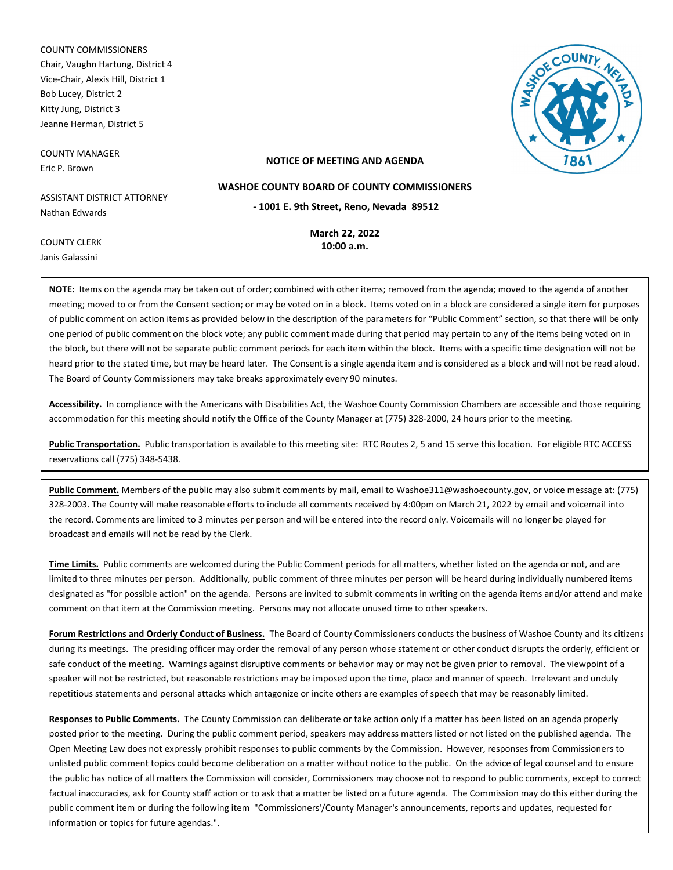COUNTY COMMISSIONERS Chair, Vaughn Hartung, District 4 Vice-Chair, Alexis Hill, District 1 Bob Lucey, District 2 Kitty Jung, District 3 Jeanne Herman, District 5

COUNTY MANAGER Eric P. Brown

COUNTY CLERK Janis Galassini



## **NOTICE OF MEETING AND AGENDA**

**WASHOE COUNTY BOARD OF COUNTY COMMISSIONERS**

ASSISTANT DISTRICT ATTORNEY Nathan Edwards

**March 22, 2022 - 1001 E. 9th Street, Reno, Nevada 89512**

**10:00 a.m.**

**NOTE:** Items on the agenda may be taken out of order; combined with other items; removed from the agenda; moved to the agenda of another meeting; moved to or from the Consent section; or may be voted on in a block. Items voted on in a block are considered a single item for purposes of public comment on action items as provided below in the description of the parameters for "Public Comment" section, so that there will be only one period of public comment on the block vote; any public comment made during that period may pertain to any of the items being voted on in the block, but there will not be separate public comment periods for each item within the block. Items with a specific time designation will not be heard prior to the stated time, but may be heard later. The Consent is a single agenda item and is considered as a block and will not be read aloud. The Board of County Commissioners may take breaks approximately every 90 minutes.

**Accessibility.** In compliance with the Americans with Disabilities Act, the Washoe County Commission Chambers are accessible and those requiring accommodation for this meeting should notify the Office of the County Manager at (775) 328-2000, 24 hours prior to the meeting.

**Public Transportation.** Public transportation is available to this meeting site: RTC Routes 2, 5 and 15 serve this location. For eligible RTC ACCESS reservations call (775) 348-5438.

**Public Comment.** Members of the public may also submit comments by mail, email to Washoe311@washoecounty.gov, or voice message at: (775) 328-2003. The County will make reasonable efforts to include all comments received by 4:00pm on March 21, 2022 by email and voicemail into the record. Comments are limited to 3 minutes per person and will be entered into the record only. Voicemails will no longer be played for broadcast and emails will not be read by the Clerk.

**Time Limits.** Public comments are welcomed during the Public Comment periods for all matters, whether listed on the agenda or not, and are limited to three minutes per person. Additionally, public comment of three minutes per person will be heard during individually numbered items designated as "for possible action" on the agenda. Persons are invited to submit comments in writing on the agenda items and/or attend and make comment on that item at the Commission meeting. Persons may not allocate unused time to other speakers.

**Forum Restrictions and Orderly Conduct of Business.** The Board of County Commissioners conducts the business of Washoe County and its citizens during its meetings. The presiding officer may order the removal of any person whose statement or other conduct disrupts the orderly, efficient or safe conduct of the meeting. Warnings against disruptive comments or behavior may or may not be given prior to removal. The viewpoint of a speaker will not be restricted, but reasonable restrictions may be imposed upon the time, place and manner of speech. Irrelevant and unduly repetitious statements and personal attacks which antagonize or incite others are examples of speech that may be reasonably limited.

**Responses to Public Comments.** The County Commission can deliberate or take action only if a matter has been listed on an agenda properly posted prior to the meeting. During the public comment period, speakers may address matters listed or not listed on the published agenda. The Open Meeting Law does not expressly prohibit responses to public comments by the Commission. However, responses from Commissioners to unlisted public comment topics could become deliberation on a matter without notice to the public. On the advice of legal counsel and to ensure the public has notice of all matters the Commission will consider, Commissioners may choose not to respond to public comments, except to correct factual inaccuracies, ask for County staff action or to ask that a matter be listed on a future agenda. The Commission may do this either during the public comment item or during the following item "Commissioners'/County Manager's announcements, reports and updates, requested for information or topics for future agendas.".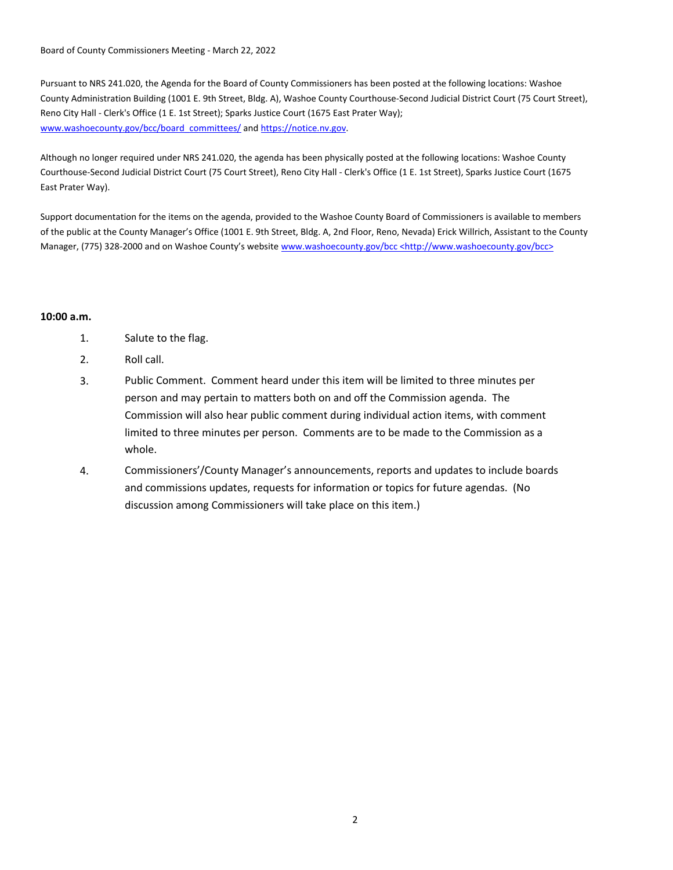Board of County Commissioners Meeting - March 22, 2022

Pursuant to NRS 241.020, the Agenda for the Board of County Commissioners has been posted at the following locations: Washoe County Administration Building (1001 E. 9th Street, Bldg. A), Washoe County Courthouse-Second Judicial District Court (75 Court Street), Reno City Hall - Clerk's Office (1 E. 1st Street); Sparks Justice Court (1675 East Prater Way); www.washoecounty.gov/bcc/board\_committees/ and https://notice.nv.gov.

Although no longer required under NRS 241.020, the agenda has been physically posted at the following locations: Washoe County Courthouse-Second Judicial District Court (75 Court Street), Reno City Hall - Clerk's Office (1 E. 1st Street), Sparks Justice Court (1675 East Prater Way).

Support documentation for the items on the agenda, provided to the Washoe County Board of Commissioners is available to members of the public at the County Manager's Office (1001 E. 9th Street, Bldg. A, 2nd Floor, Reno, Nevada) Erick Willrich, Assistant to the County Manager, (775) 328-2000 and on Washoe County's website www.washoecounty.gov/bcc <http://www.washoecounty.gov/bcc>

# **10:00 a.m.**

- 1. Salute to the flag.
- 2. Roll call.
- 3. Public Comment. Comment heard under this item will be limited to three minutes per person and may pertain to matters both on and off the Commission agenda. The Commission will also hear public comment during individual action items, with comment limited to three minutes per person. Comments are to be made to the Commission as a whole.
- 4. Commissioners'/County Manager's announcements, reports and updates to include boards and commissions updates, requests for information or topics for future agendas. (No discussion among Commissioners will take place on this item.)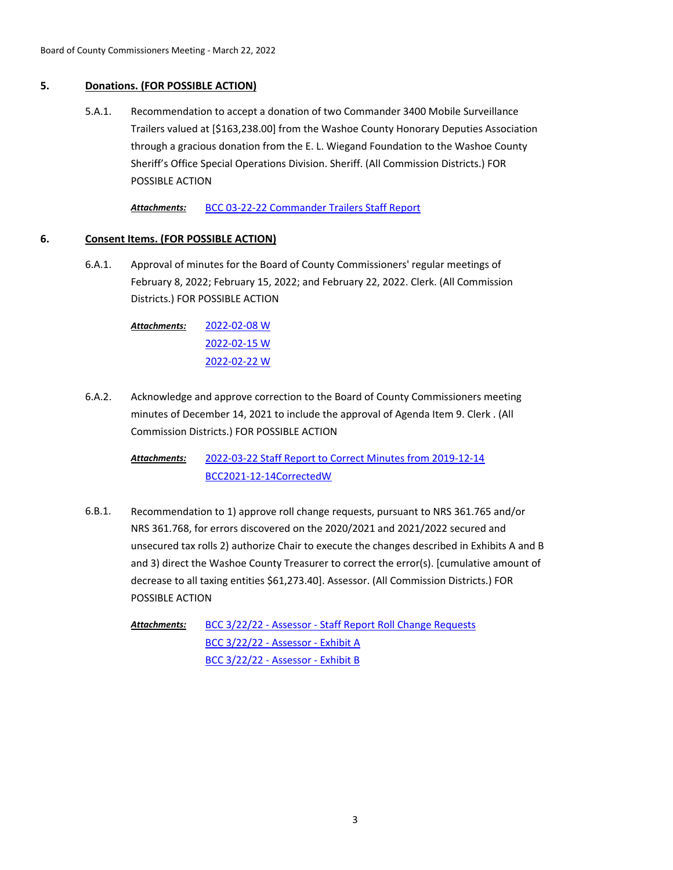# **5. Donations. (FOR POSSIBLE ACTION)**

Recommendation to accept a donation of two Commander 3400 Mobile Surveillance Trailers valued at [\$163,238.00] from the Washoe County Honorary Deputies Association through a gracious donation from the E. L. Wiegand Foundation to the Washoe County Sheriff's Office Special Operations Division. Sheriff. (All Commission Districts.) FOR POSSIBLE ACTION 5.A.1.

*Attachments:* [BCC 03-22-22 Commander Trailers Staff Report](http://washoe-nv.legistar.com/gateway.aspx?M=F&ID=3647685b-eefe-4e8b-8391-8ba5f644f17e.doc)

# **6. Consent Items. (FOR POSSIBLE ACTION)**

Approval of minutes for the Board of County Commissioners' regular meetings of February 8, 2022; February 15, 2022; and February 22, 2022. Clerk. (All Commission Districts.) FOR POSSIBLE ACTION 6.A.1.

> [2022-02-08 W](http://washoe-nv.legistar.com/gateway.aspx?M=F&ID=3462e1d3-6835-4508-9bde-40fe1f09bf52.pdf) [2022-02-15 W](http://washoe-nv.legistar.com/gateway.aspx?M=F&ID=06125395-e2f2-44f9-8920-b98c17b7fce4.pdf) [2022-02-22 W](http://washoe-nv.legistar.com/gateway.aspx?M=F&ID=6e7a83e6-1d79-4f96-a5b9-b6578b18bfe7.pdf) *Attachments:*

Acknowledge and approve correction to the Board of County Commissioners meeting minutes of December 14, 2021 to include the approval of Agenda Item 9. Clerk . (All Commission Districts.) FOR POSSIBLE ACTION 6.A.2.

> [2022-03-22 Staff Report to Correct Minutes from 2019-12-14](http://washoe-nv.legistar.com/gateway.aspx?M=F&ID=6a2850f1-f8da-4e30-8a24-04adb7fc0dd8.pdf) [BCC2021-12-14CorrectedW](http://washoe-nv.legistar.com/gateway.aspx?M=F&ID=4f967df7-e6ab-4b61-b0d3-3804d598b2ec.pdf) *Attachments:*

Recommendation to 1) approve roll change requests, pursuant to NRS 361.765 and/or NRS 361.768, for errors discovered on the 2020/2021 and 2021/2022 secured and unsecured tax rolls 2) authorize Chair to execute the changes described in Exhibits A and B and 3) direct the Washoe County Treasurer to correct the error(s). [cumulative amount of decrease to all taxing entities \$61,273.40]. Assessor. (All Commission Districts.) FOR POSSIBLE ACTION 6.B.1.

[BCC 3/22/22 - Assessor - Staff Report Roll Change Requests](http://washoe-nv.legistar.com/gateway.aspx?M=F&ID=8d2af594-cdc7-4295-a9b5-266553f7b039.docx) [BCC 3/22/22 - Assessor - Exhibit A](http://washoe-nv.legistar.com/gateway.aspx?M=F&ID=5fb078ea-1ff1-449c-b5ee-a0e5bcf4817a.pdf) [BCC 3/22/22 - Assessor - Exhibit B](http://washoe-nv.legistar.com/gateway.aspx?M=F&ID=cba55a33-056a-4a07-840f-5f9e7ce3104c.pdf) *Attachments:*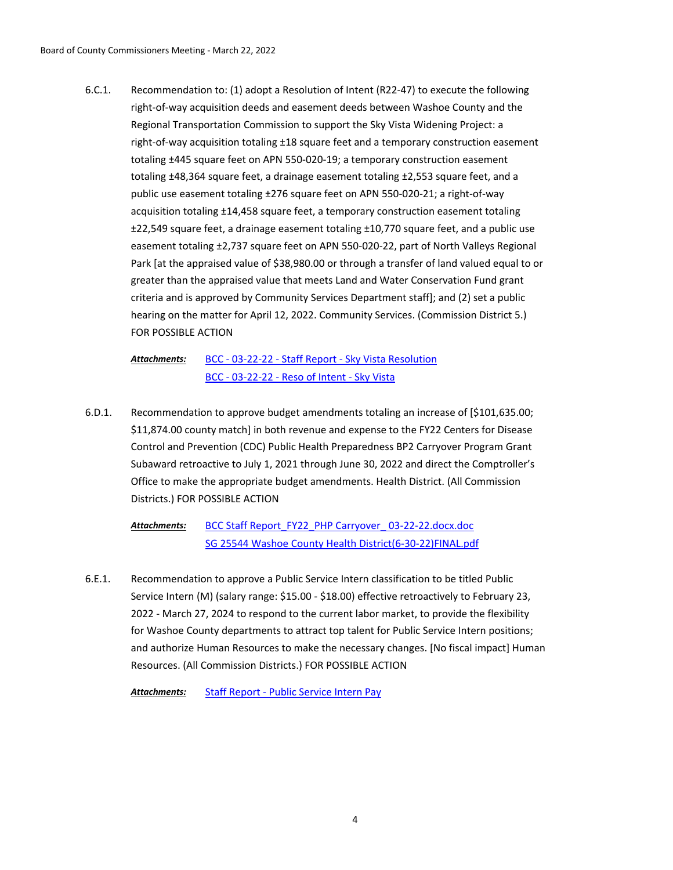Recommendation to: (1) adopt a Resolution of Intent (R22-47) to execute the following right-of-way acquisition deeds and easement deeds between Washoe County and the Regional Transportation Commission to support the Sky Vista Widening Project: a right-of-way acquisition totaling ±18 square feet and a temporary construction easement totaling ±445 square feet on APN 550-020-19; a temporary construction easement totaling ±48,364 square feet, a drainage easement totaling ±2,553 square feet, and a public use easement totaling ±276 square feet on APN 550-020-21; a right-of-way acquisition totaling ±14,458 square feet, a temporary construction easement totaling ±22,549 square feet, a drainage easement totaling ±10,770 square feet, and a public use easement totaling ±2,737 square feet on APN 550-020-22, part of North Valleys Regional Park [at the appraised value of \$38,980.00 or through a transfer of land valued equal to or greater than the appraised value that meets Land and Water Conservation Fund grant criteria and is approved by Community Services Department staff]; and (2) set a public hearing on the matter for April 12, 2022. Community Services. (Commission District 5.) FOR POSSIBLE ACTION 6.C.1.

[BCC - 03-22-22 - Staff Report - Sky Vista Resolution](http://washoe-nv.legistar.com/gateway.aspx?M=F&ID=9cec7285-ca77-4181-99c5-e6fb83b367c7.doc) [BCC - 03-22-22 - Reso of Intent - Sky Vista](http://washoe-nv.legistar.com/gateway.aspx?M=F&ID=f20e8eba-e23d-4f64-b402-c1ef96912af0.docx) *Attachments:*

Recommendation to approve budget amendments totaling an increase of [\$101,635.00; \$11,874.00 county match] in both revenue and expense to the FY22 Centers for Disease Control and Prevention (CDC) Public Health Preparedness BP2 Carryover Program Grant Subaward retroactive to July 1, 2021 through June 30, 2022 and direct the Comptroller's Office to make the appropriate budget amendments. Health District. (All Commission Districts.) FOR POSSIBLE ACTION 6.D.1.

BCC Staff Report\_FY22\_PHP Carryover\_03-22-22.docx.doc [SG 25544 Washoe County Health District\(6-30-22\)FINAL.pdf](http://washoe-nv.legistar.com/gateway.aspx?M=F&ID=0da58a50-c6d2-4a5b-84ae-444db0bd7b46.pdf) *Attachments:*

Recommendation to approve a Public Service Intern classification to be titled Public Service Intern (M) (salary range: \$15.00 - \$18.00) effective retroactively to February 23, 2022 - March 27, 2024 to respond to the current labor market, to provide the flexibility for Washoe County departments to attract top talent for Public Service Intern positions; and authorize Human Resources to make the necessary changes. [No fiscal impact] Human Resources. (All Commission Districts.) FOR POSSIBLE ACTION 6.E.1.

*Attachments:* [Staff Report - Public Service Intern Pay](http://washoe-nv.legistar.com/gateway.aspx?M=F&ID=8bd18f94-68eb-440d-b4c3-b73b9acf8d80.docx)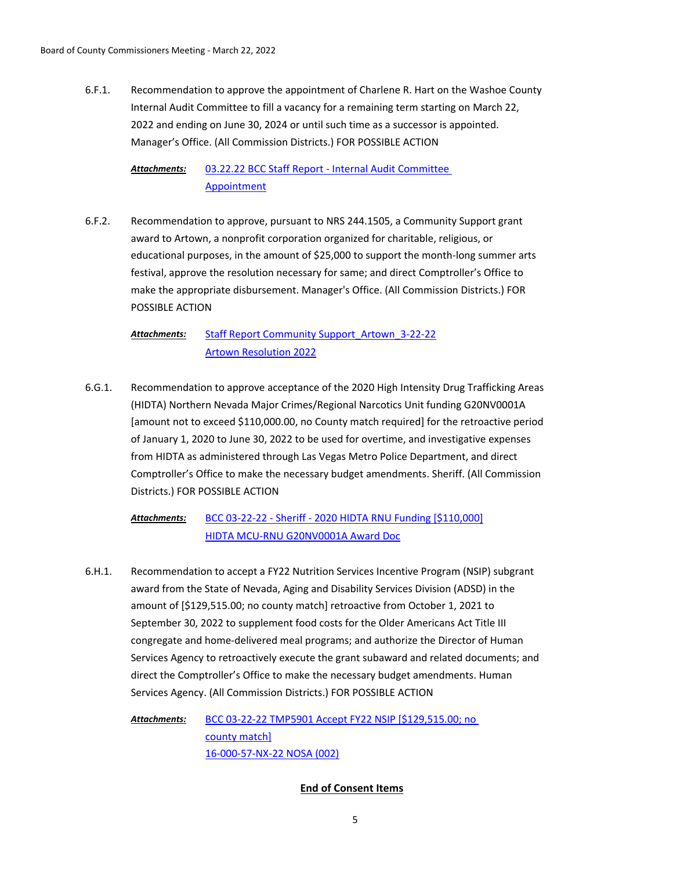Recommendation to approve the appointment of Charlene R. Hart on the Washoe County Internal Audit Committee to fill a vacancy for a remaining term starting on March 22, 2022 and ending on June 30, 2024 or until such time as a successor is appointed. Manager's Office. (All Commission Districts.) FOR POSSIBLE ACTION 6.F.1.

[03.22.22 BCC Staff Report - Internal Audit Committee](http://washoe-nv.legistar.com/gateway.aspx?M=F&ID=e3b27923-067a-4642-bf33-c331df1418fb.pdf)  Appointment *Attachments:*

Recommendation to approve, pursuant to NRS 244.1505, a Community Support grant award to Artown, a nonprofit corporation organized for charitable, religious, or educational purposes, in the amount of \$25,000 to support the month-long summer arts festival, approve the resolution necessary for same; and direct Comptroller's Office to make the appropriate disbursement. Manager's Office. (All Commission Districts.) FOR POSSIBLE ACTION 6.F.2.

[Staff Report Community Support\\_Artown\\_3-22-22](http://washoe-nv.legistar.com/gateway.aspx?M=F&ID=e5221ec7-add0-4378-a2e0-6af9ccab81bf.doc) [Artown Resolution 2022](http://washoe-nv.legistar.com/gateway.aspx?M=F&ID=a6d14c21-140e-44c9-a588-ce8ea6adf8ed.doc) *Attachments:*

Recommendation to approve acceptance of the 2020 High Intensity Drug Trafficking Areas (HIDTA) Northern Nevada Major Crimes/Regional Narcotics Unit funding G20NV0001A [amount not to exceed \$110,000.00, no County match required] for the retroactive period of January 1, 2020 to June 30, 2022 to be used for overtime, and investigative expenses from HIDTA as administered through Las Vegas Metro Police Department, and direct Comptroller's Office to make the necessary budget amendments. Sheriff. (All Commission Districts.) FOR POSSIBLE ACTION 6.G.1.

#### [BCC 03-22-22 - Sheriff - 2020 HIDTA RNU Funding \[\\$110,000\]](http://washoe-nv.legistar.com/gateway.aspx?M=F&ID=a18e6d11-0844-44aa-9fdf-3213c091d414.doc) [HIDTA MCU-RNU G20NV0001A Award Doc](http://washoe-nv.legistar.com/gateway.aspx?M=F&ID=71d63ed7-d746-47db-9019-eb715c6b7c52.pdf) *Attachments:*

Recommendation to accept a FY22 Nutrition Services Incentive Program (NSIP) subgrant award from the State of Nevada, Aging and Disability Services Division (ADSD) in the amount of [\$129,515.00; no county match] retroactive from October 1, 2021 to September 30, 2022 to supplement food costs for the Older Americans Act Title III congregate and home-delivered meal programs; and authorize the Director of Human Services Agency to retroactively execute the grant subaward and related documents; and direct the Comptroller's Office to make the necessary budget amendments. Human Services Agency. (All Commission Districts.) FOR POSSIBLE ACTION 6.H.1.

[BCC 03-22-22 TMP5901 Accept FY22 NSIP \[\\$129,515.00; no](http://washoe-nv.legistar.com/gateway.aspx?M=F&ID=f2258154-87e5-41cc-8eb4-68a2ba1eba2e.doc)  county match] [16-000-57-NX-22 NOSA \(002\)](http://washoe-nv.legistar.com/gateway.aspx?M=F&ID=1c9eb013-0a05-4654-a91b-e23b60092160.pdf) *Attachments:*

# **End of Consent Items**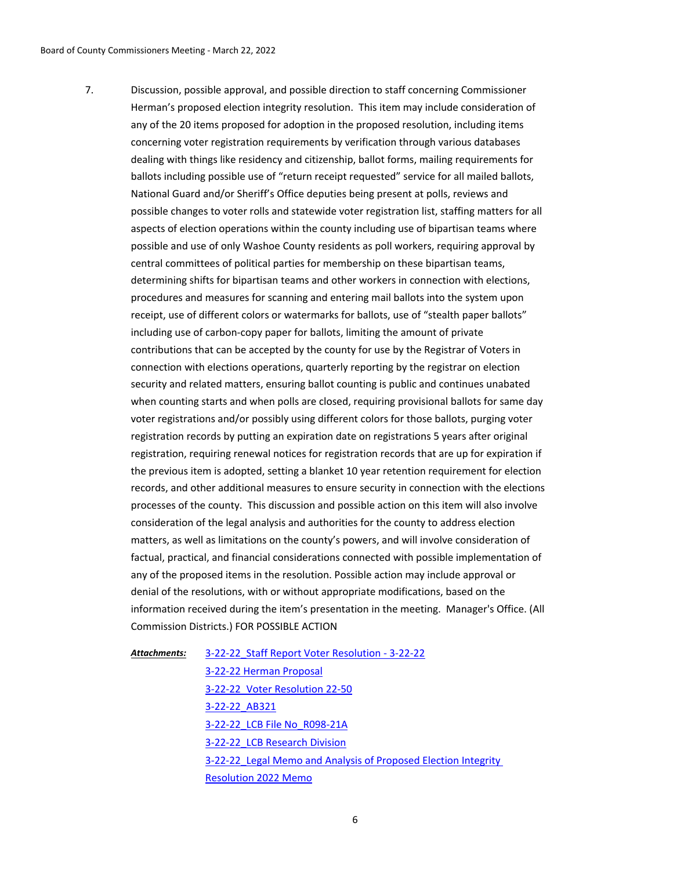Discussion, possible approval, and possible direction to staff concerning Commissioner Herman's proposed election integrity resolution. This item may include consideration of any of the 20 items proposed for adoption in the proposed resolution, including items concerning voter registration requirements by verification through various databases dealing with things like residency and citizenship, ballot forms, mailing requirements for ballots including possible use of "return receipt requested" service for all mailed ballots, National Guard and/or Sheriff's Office deputies being present at polls, reviews and possible changes to voter rolls and statewide voter registration list, staffing matters for all aspects of election operations within the county including use of bipartisan teams where possible and use of only Washoe County residents as poll workers, requiring approval by central committees of political parties for membership on these bipartisan teams, determining shifts for bipartisan teams and other workers in connection with elections, procedures and measures for scanning and entering mail ballots into the system upon receipt, use of different colors or watermarks for ballots, use of "stealth paper ballots" including use of carbon-copy paper for ballots, limiting the amount of private contributions that can be accepted by the county for use by the Registrar of Voters in connection with elections operations, quarterly reporting by the registrar on election security and related matters, ensuring ballot counting is public and continues unabated when counting starts and when polls are closed, requiring provisional ballots for same day voter registrations and/or possibly using different colors for those ballots, purging voter registration records by putting an expiration date on registrations 5 years after original registration, requiring renewal notices for registration records that are up for expiration if the previous item is adopted, setting a blanket 10 year retention requirement for election records, and other additional measures to ensure security in connection with the elections processes of the county. This discussion and possible action on this item will also involve consideration of the legal analysis and authorities for the county to address election matters, as well as limitations on the county's powers, and will involve consideration of factual, practical, and financial considerations connected with possible implementation of any of the proposed items in the resolution. Possible action may include approval or denial of the resolutions, with or without appropriate modifications, based on the information received during the item's presentation in the meeting. Manager's Office. (All Commission Districts.) FOR POSSIBLE ACTION 7.

[3-22-22\\_Staff Report Voter Resolution - 3-22-22](http://washoe-nv.legistar.com/gateway.aspx?M=F&ID=4fd60194-a21f-41ef-ba10-04dfda4f7c9b.doc) *Attachments:*

> [3-22-22 Herman Proposal](http://washoe-nv.legistar.com/gateway.aspx?M=F&ID=616ad588-68e9-4e83-8e43-5ff0ec4f5c8b.pdf) [3-22-22\\_Voter Resolution 22-50](http://washoe-nv.legistar.com/gateway.aspx?M=F&ID=df84b0c1-c431-432f-8e75-dc831ff57e5f.docx) [3-22-22\\_AB321](http://washoe-nv.legistar.com/gateway.aspx?M=F&ID=4530e652-39da-47e2-bc71-8fc56cdbf8a9.pdf) [3-22-22\\_LCB File No\\_R098-21A](http://washoe-nv.legistar.com/gateway.aspx?M=F&ID=83078732-9418-4bc3-bdee-ae3ab4a25f94.pdf) [3-22-22\\_LCB Research Division](http://washoe-nv.legistar.com/gateway.aspx?M=F&ID=4e5643a6-fc18-4360-8416-6364f37ec97c.pdf) [3-22-22\\_Legal Memo and Analysis of Proposed Election Integrity](http://washoe-nv.legistar.com/gateway.aspx?M=F&ID=cb2bbbed-7341-46e7-bb8d-47f63ca90111.docx) Resolution 2022 Memo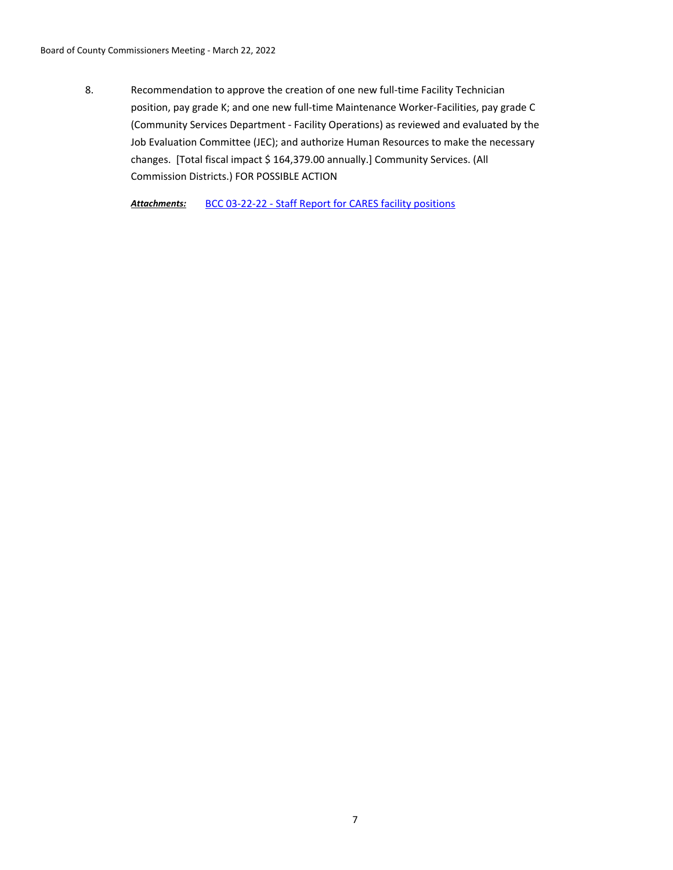Recommendation to approve the creation of one new full-time Facility Technician position, pay grade K; and one new full-time Maintenance Worker-Facilities, pay grade C (Community Services Department - Facility Operations) as reviewed and evaluated by the Job Evaluation Committee (JEC); and authorize Human Resources to make the necessary changes. [Total fiscal impact \$ 164,379.00 annually.] Community Services. (All Commission Districts.) FOR POSSIBLE ACTION 8.

*Attachments:* [BCC 03-22-22 - Staff Report for CARES facility positions](http://washoe-nv.legistar.com/gateway.aspx?M=F&ID=013a84f5-8347-4764-af14-397f68f9bf46.docx)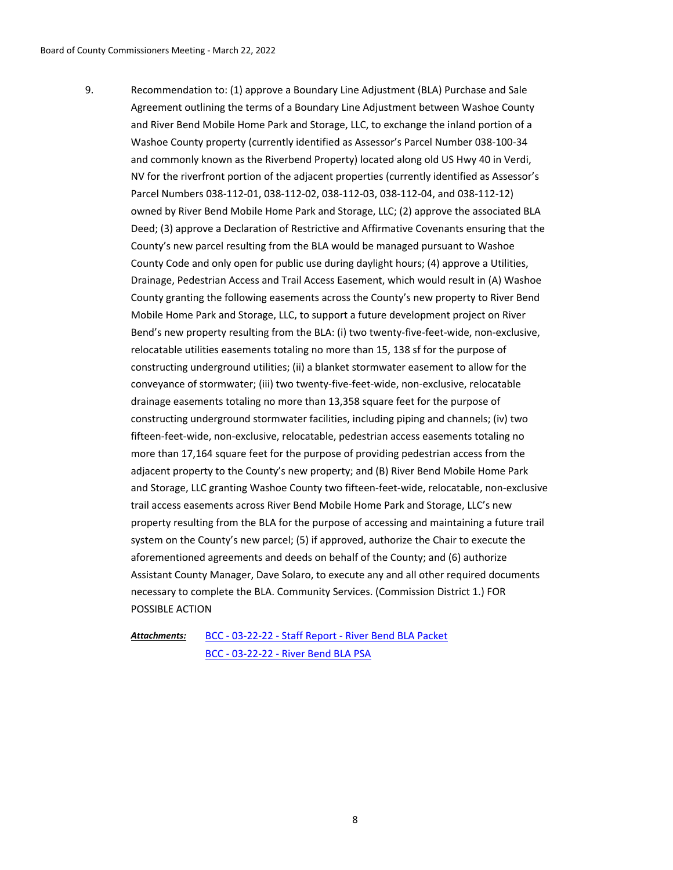Recommendation to: (1) approve a Boundary Line Adjustment (BLA) Purchase and Sale Agreement outlining the terms of a Boundary Line Adjustment between Washoe County and River Bend Mobile Home Park and Storage, LLC, to exchange the inland portion of a Washoe County property (currently identified as Assessor's Parcel Number 038-100-34 and commonly known as the Riverbend Property) located along old US Hwy 40 in Verdi, NV for the riverfront portion of the adjacent properties (currently identified as Assessor's Parcel Numbers 038-112-01, 038-112-02, 038-112-03, 038-112-04, and 038-112-12) owned by River Bend Mobile Home Park and Storage, LLC; (2) approve the associated BLA Deed; (3) approve a Declaration of Restrictive and Affirmative Covenants ensuring that the County's new parcel resulting from the BLA would be managed pursuant to Washoe County Code and only open for public use during daylight hours; (4) approve a Utilities, Drainage, Pedestrian Access and Trail Access Easement, which would result in (A) Washoe County granting the following easements across the County's new property to River Bend Mobile Home Park and Storage, LLC, to support a future development project on River Bend's new property resulting from the BLA: (i) two twenty-five-feet-wide, non-exclusive, relocatable utilities easements totaling no more than 15, 138 sf for the purpose of constructing underground utilities; (ii) a blanket stormwater easement to allow for the conveyance of stormwater; (iii) two twenty-five-feet-wide, non-exclusive, relocatable drainage easements totaling no more than 13,358 square feet for the purpose of constructing underground stormwater facilities, including piping and channels; (iv) two fifteen-feet-wide, non-exclusive, relocatable, pedestrian access easements totaling no more than 17,164 square feet for the purpose of providing pedestrian access from the adjacent property to the County's new property; and (B) River Bend Mobile Home Park and Storage, LLC granting Washoe County two fifteen-feet-wide, relocatable, non-exclusive trail access easements across River Bend Mobile Home Park and Storage, LLC's new property resulting from the BLA for the purpose of accessing and maintaining a future trail system on the County's new parcel; (5) if approved, authorize the Chair to execute the aforementioned agreements and deeds on behalf of the County; and (6) authorize Assistant County Manager, Dave Solaro, to execute any and all other required documents necessary to complete the BLA. Community Services. (Commission District 1.) FOR POSSIBLE ACTION 9.

*Attachments:*

[BCC - 03-22-22 - Staff Report - River Bend BLA Packet](http://washoe-nv.legistar.com/gateway.aspx?M=F&ID=fd4242c0-8e0f-4f02-a3d4-a4241b317df5.docx) [BCC - 03-22-22 - River Bend BLA PSA](http://washoe-nv.legistar.com/gateway.aspx?M=F&ID=9ac60c9c-9049-450c-8819-9fabc26b91d5.pdf)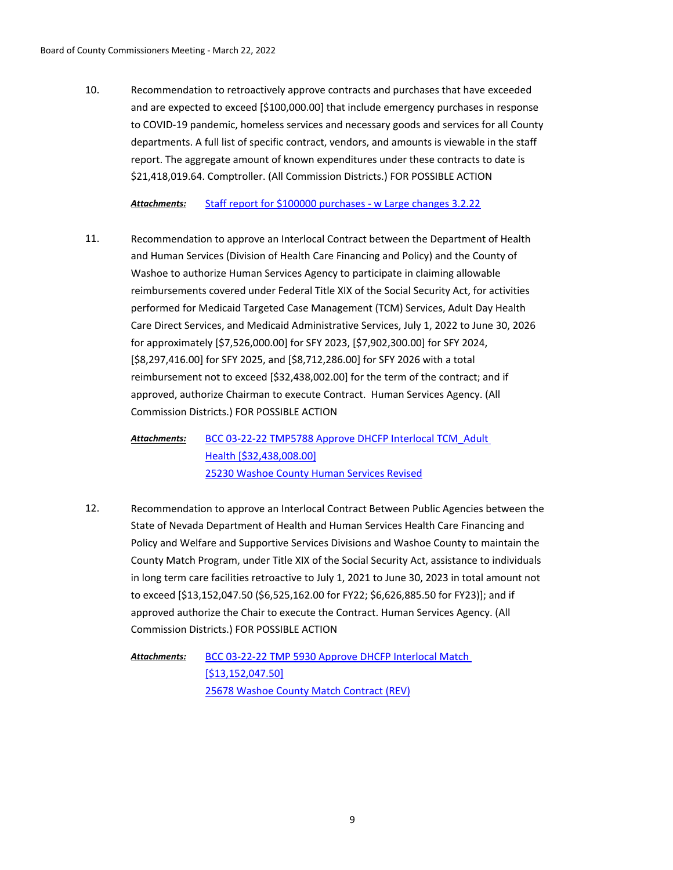Recommendation to retroactively approve contracts and purchases that have exceeded and are expected to exceed [\$100,000.00] that include emergency purchases in response to COVID-19 pandemic, homeless services and necessary goods and services for all County departments. A full list of specific contract, vendors, and amounts is viewable in the staff report. The aggregate amount of known expenditures under these contracts to date is \$21,418,019.64. Comptroller. (All Commission Districts.) FOR POSSIBLE ACTION 10.

# *Attachments:* [Staff report for \\$100000 purchases - w Large changes 3.2.22](http://washoe-nv.legistar.com/gateway.aspx?M=F&ID=00ebb1ae-adc9-42d6-b3e0-8ca4b3a17e39.doc)

Recommendation to approve an Interlocal Contract between the Department of Health and Human Services (Division of Health Care Financing and Policy) and the County of Washoe to authorize Human Services Agency to participate in claiming allowable reimbursements covered under Federal Title XIX of the Social Security Act, for activities performed for Medicaid Targeted Case Management (TCM) Services, Adult Day Health Care Direct Services, and Medicaid Administrative Services, July 1, 2022 to June 30, 2026 for approximately [\$7,526,000.00] for SFY 2023, [\$7,902,300.00] for SFY 2024, [\$8,297,416.00] for SFY 2025, and [\$8,712,286.00] for SFY 2026 with a total reimbursement not to exceed [\$32,438,002.00] for the term of the contract; and if approved, authorize Chairman to execute Contract. Human Services Agency. (All Commission Districts.) FOR POSSIBLE ACTION 11.

[BCC 03-22-22 TMP5788 Approve DHCFP Interlocal TCM\\_Adult](http://washoe-nv.legistar.com/gateway.aspx?M=F&ID=3269fee5-e88e-4e6c-8d9f-5fb9f0721593.doc)  Health [\$32,438,008.00] [25230 Washoe County Human Services Revised](http://washoe-nv.legistar.com/gateway.aspx?M=F&ID=e4e4a035-05e6-4857-8316-458769db2d5e.pdf) *Attachments:*

Recommendation to approve an Interlocal Contract Between Public Agencies between the State of Nevada Department of Health and Human Services Health Care Financing and Policy and Welfare and Supportive Services Divisions and Washoe County to maintain the County Match Program, under Title XIX of the Social Security Act, assistance to individuals in long term care facilities retroactive to July 1, 2021 to June 30, 2023 in total amount not to exceed [\$13,152,047.50 (\$6,525,162.00 for FY22; \$6,626,885.50 for FY23)]; and if approved authorize the Chair to execute the Contract. Human Services Agency. (All Commission Districts.) FOR POSSIBLE ACTION 12.

[BCC 03-22-22 TMP 5930 Approve DHCFP Interlocal Match](http://washoe-nv.legistar.com/gateway.aspx?M=F&ID=c1d9b1bb-848f-42d1-b60f-a813a7481133.doc)  [\$13,152,047.50] [25678 Washoe County Match Contract \(REV\)](http://washoe-nv.legistar.com/gateway.aspx?M=F&ID=f1a17ea9-3aac-4407-8171-4ef87d8c1446.pdf) *Attachments:*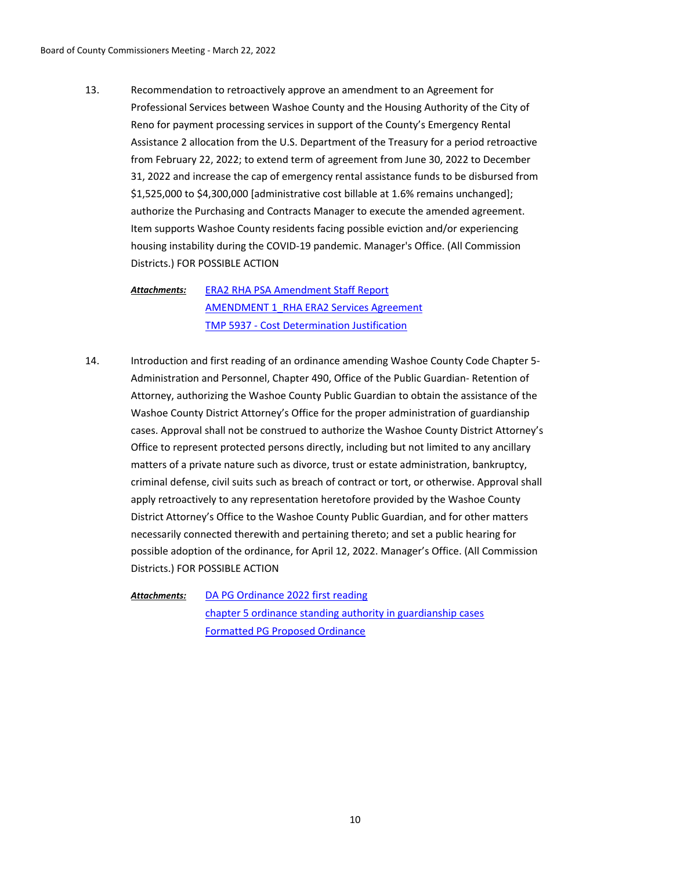Recommendation to retroactively approve an amendment to an Agreement for Professional Services between Washoe County and the Housing Authority of the City of Reno for payment processing services in support of the County's Emergency Rental Assistance 2 allocation from the U.S. Department of the Treasury for a period retroactive from February 22, 2022; to extend term of agreement from June 30, 2022 to December 31, 2022 and increase the cap of emergency rental assistance funds to be disbursed from \$1,525,000 to \$4,300,000 [administrative cost billable at 1.6% remains unchanged]; authorize the Purchasing and Contracts Manager to execute the amended agreement. Item supports Washoe County residents facing possible eviction and/or experiencing housing instability during the COVID-19 pandemic. Manager's Office. (All Commission Districts.) FOR POSSIBLE ACTION 13.

[ERA2 RHA PSA Amendment Staff Report](http://washoe-nv.legistar.com/gateway.aspx?M=F&ID=e5c3f354-3a2d-4357-87b9-f62586c3abb8.docx) [AMENDMENT 1\\_RHA ERA2 Services Agreement](http://washoe-nv.legistar.com/gateway.aspx?M=F&ID=4c214205-c63e-464a-b68f-89a2f1a09da5.pdf) [TMP 5937 - Cost Determination Justification](http://washoe-nv.legistar.com/gateway.aspx?M=F&ID=122c0ab7-6b58-4015-99f2-364ecf6a82b4.pdf) *Attachments:*

Introduction and first reading of an ordinance amending Washoe County Code Chapter 5- Administration and Personnel, Chapter 490, Office of the Public Guardian- Retention of Attorney, authorizing the Washoe County Public Guardian to obtain the assistance of the Washoe County District Attorney's Office for the proper administration of guardianship cases. Approval shall not be construed to authorize the Washoe County District Attorney's Office to represent protected persons directly, including but not limited to any ancillary matters of a private nature such as divorce, trust or estate administration, bankruptcy, criminal defense, civil suits such as breach of contract or tort, or otherwise. Approval shall apply retroactively to any representation heretofore provided by the Washoe County District Attorney's Office to the Washoe County Public Guardian, and for other matters necessarily connected therewith and pertaining thereto; and set a public hearing for possible adoption of the ordinance, for April 12, 2022. Manager's Office. (All Commission Districts.) FOR POSSIBLE ACTION 14.

[DA PG Ordinance 2022 first reading](http://washoe-nv.legistar.com/gateway.aspx?M=F&ID=2a7fe515-1b1e-42f7-8c06-ec724202e37d.doc) [chapter 5 ordinance standing authority in guardianship cases](http://washoe-nv.legistar.com/gateway.aspx?M=F&ID=79ac4887-866a-433c-8828-eb9dc283966d.docx) [Formatted PG Proposed Ordinance](http://washoe-nv.legistar.com/gateway.aspx?M=F&ID=a1e3e39d-f7d6-4177-a0ba-7668c2ede0c2.docx) *Attachments:*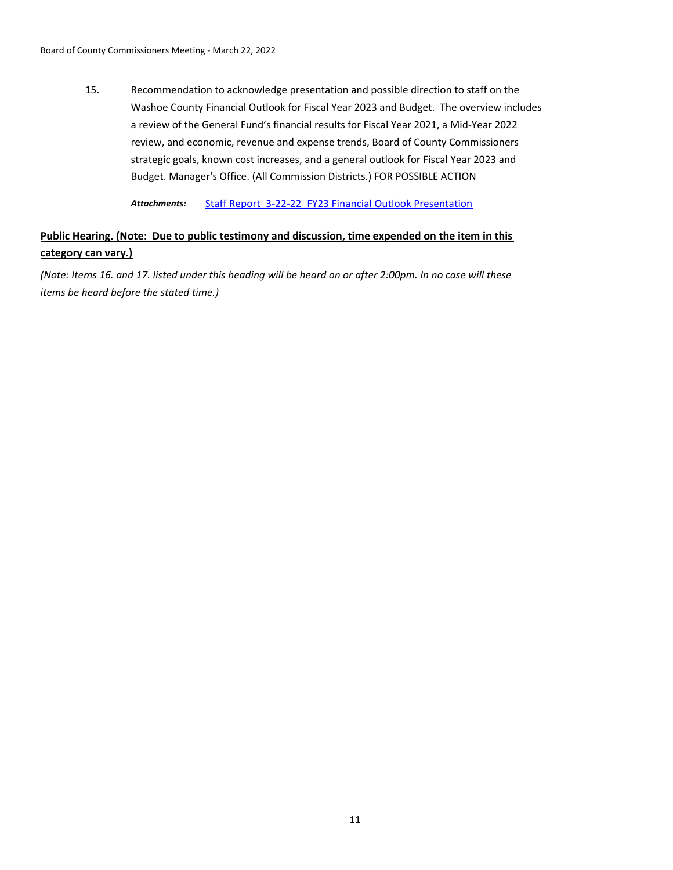Recommendation to acknowledge presentation and possible direction to staff on the Washoe County Financial Outlook for Fiscal Year 2023 and Budget. The overview includes a review of the General Fund's financial results for Fiscal Year 2021, a Mid-Year 2022 review, and economic, revenue and expense trends, Board of County Commissioners strategic goals, known cost increases, and a general outlook for Fiscal Year 2023 and Budget. Manager's Office. (All Commission Districts.) FOR POSSIBLE ACTION 15.

Attachments: Staff Report 3-22-22 FY23 Financial Outlook Presentation

# **Public Hearing. (Note: Due to public testimony and discussion, time expended on the item in this category can vary.)**

*(Note: Items 16. and 17. listed under this heading will be heard on or after 2:00pm. In no case will these items be heard before the stated time.)*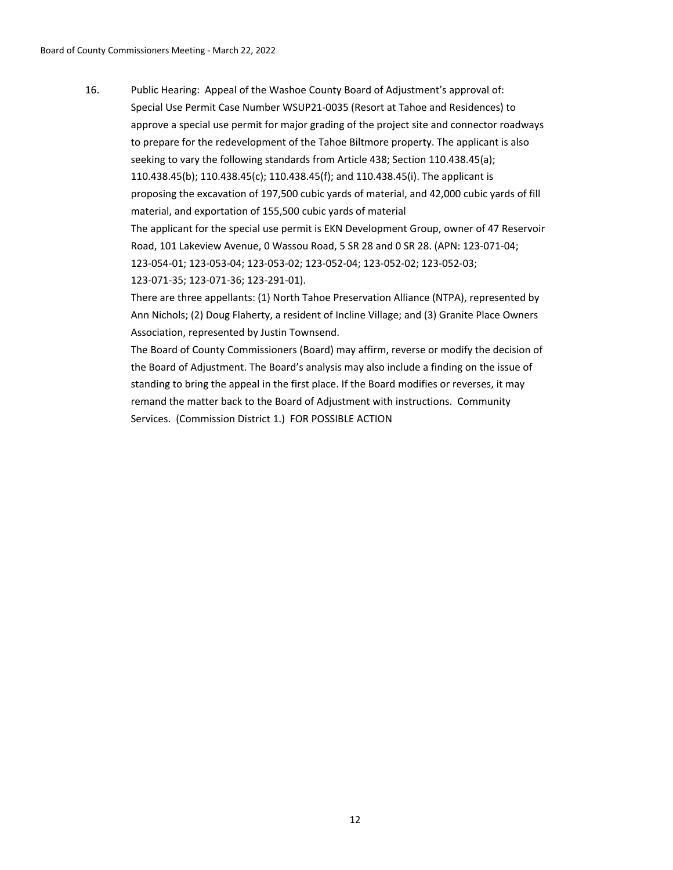Public Hearing: Appeal of the Washoe County Board of Adjustment's approval of: Special Use Permit Case Number WSUP21-0035 (Resort at Tahoe and Residences) to approve a special use permit for major grading of the project site and connector roadways to prepare for the redevelopment of the Tahoe Biltmore property. The applicant is also seeking to vary the following standards from Article 438; Section 110.438.45(a); 110.438.45(b); 110.438.45(c); 110.438.45(f); and 110.438.45(i). The applicant is proposing the excavation of 197,500 cubic yards of material, and 42,000 cubic yards of fill material, and exportation of 155,500 cubic yards of material The applicant for the special use permit is EKN Development Group, owner of 47 Reservoir Road, 101 Lakeview Avenue, 0 Wassou Road, 5 SR 28 and 0 SR 28. (APN: 123-071-04; 123-054-01; 123-053-04; 123-053-02; 123-052-04; 123-052-02; 123-052-03; 123-071-35; 123-071-36; 123-291-01). There are three appellants: (1) North Tahoe Preservation Alliance (NTPA), represented by 16.

Ann Nichols; (2) Doug Flaherty, a resident of Incline Village; and (3) Granite Place Owners Association, represented by Justin Townsend.

The Board of County Commissioners (Board) may affirm, reverse or modify the decision of the Board of Adjustment. The Board's analysis may also include a finding on the issue of standing to bring the appeal in the first place. If the Board modifies or reverses, it may remand the matter back to the Board of Adjustment with instructions. Community Services. (Commission District 1.) FOR POSSIBLE ACTION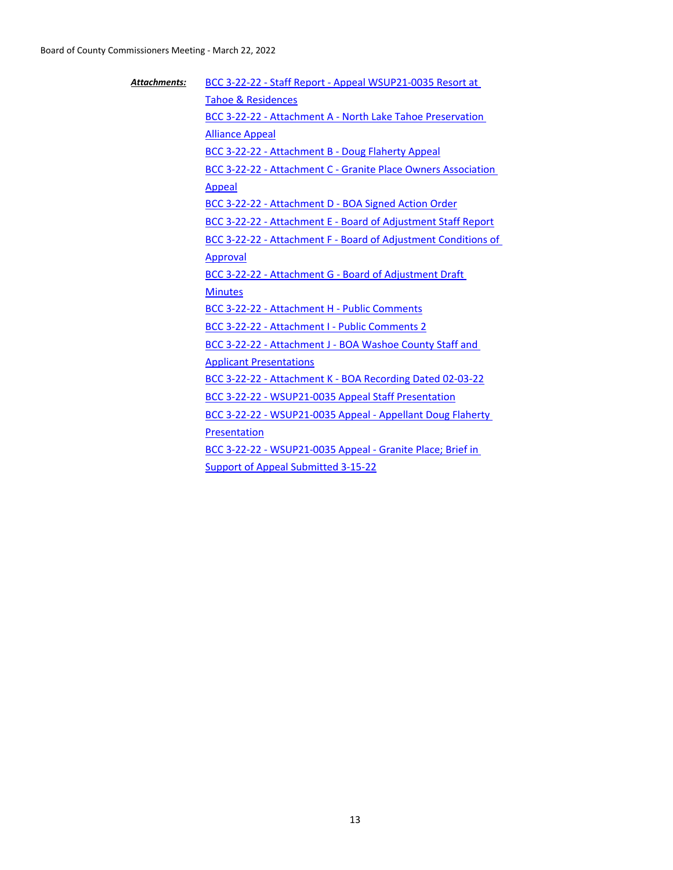| <b>Attachments:</b> | BCC 3-22-22 - Staff Report - Appeal WSUP21-0035 Resort at      |
|---------------------|----------------------------------------------------------------|
|                     | <b>Tahoe &amp; Residences</b>                                  |
|                     | BCC 3-22-22 - Attachment A - North Lake Tahoe Preservation     |
|                     | <b>Alliance Appeal</b>                                         |
|                     | <b>BCC 3-22-22 - Attachment B - Doug Flaherty Appeal</b>       |
|                     | BCC 3-22-22 - Attachment C - Granite Place Owners Association  |
|                     | Appeal                                                         |
|                     | BCC 3-22-22 - Attachment D - BOA Signed Action Order           |
|                     | BCC 3-22-22 - Attachment E - Board of Adjustment Staff Report  |
|                     | BCC 3-22-22 - Attachment F - Board of Adjustment Conditions of |
|                     | Approval                                                       |
|                     | BCC 3-22-22 - Attachment G - Board of Adjustment Draft         |
|                     | <b>Minutes</b>                                                 |
|                     | BCC 3-22-22 - Attachment H - Public Comments                   |
|                     | BCC 3-22-22 - Attachment I - Public Comments 2                 |
|                     | BCC 3-22-22 - Attachment J - BOA Washoe County Staff and       |
|                     | <b>Applicant Presentations</b>                                 |
|                     | BCC 3-22-22 - Attachment K - BOA Recording Dated 02-03-22      |
|                     | BCC 3-22-22 - WSUP21-0035 Appeal Staff Presentation            |
|                     | BCC 3-22-22 - WSUP21-0035 Appeal - Appellant Doug Flaherty     |
|                     | Presentation                                                   |
|                     | BCC 3-22-22 - WSUP21-0035 Appeal - Granite Place; Brief in     |
|                     | Support of Appeal Submitted 3-15-22                            |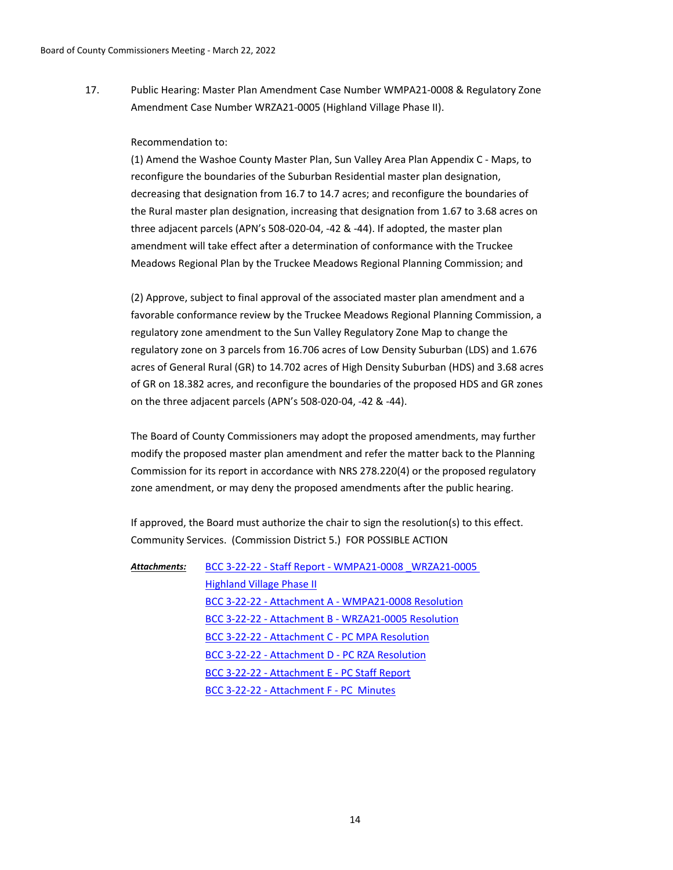Public Hearing: Master Plan Amendment Case Number WMPA21-0008 & Regulatory Zone Amendment Case Number WRZA21-0005 (Highland Village Phase II). 17.

#### Recommendation to:

(1) Amend the Washoe County Master Plan, Sun Valley Area Plan Appendix C - Maps, to reconfigure the boundaries of the Suburban Residential master plan designation, decreasing that designation from 16.7 to 14.7 acres; and reconfigure the boundaries of the Rural master plan designation, increasing that designation from 1.67 to 3.68 acres on three adjacent parcels (APN's 508-020-04, -42 & -44). If adopted, the master plan amendment will take effect after a determination of conformance with the Truckee Meadows Regional Plan by the Truckee Meadows Regional Planning Commission; and

(2) Approve, subject to final approval of the associated master plan amendment and a favorable conformance review by the Truckee Meadows Regional Planning Commission, a regulatory zone amendment to the Sun Valley Regulatory Zone Map to change the regulatory zone on 3 parcels from 16.706 acres of Low Density Suburban (LDS) and 1.676 acres of General Rural (GR) to 14.702 acres of High Density Suburban (HDS) and 3.68 acres of GR on 18.382 acres, and reconfigure the boundaries of the proposed HDS and GR zones on the three adjacent parcels (APN's 508-020-04, -42 & -44).

The Board of County Commissioners may adopt the proposed amendments, may further modify the proposed master plan amendment and refer the matter back to the Planning Commission for its report in accordance with NRS 278.220(4) or the proposed regulatory zone amendment, or may deny the proposed amendments after the public hearing.

If approved, the Board must authorize the chair to sign the resolution(s) to this effect. Community Services. (Commission District 5.) FOR POSSIBLE ACTION

| Attachments: | BCC 3-22-22 - Staff Report - WMPA21-0008 WRZA21-0005 |
|--------------|------------------------------------------------------|
|              | <b>Highland Village Phase II</b>                     |
|              | BCC 3-22-22 - Attachment A - WMPA21-0008 Resolution  |
|              | BCC 3-22-22 - Attachment B - WRZA21-0005 Resolution  |
|              | BCC 3-22-22 - Attachment C - PC MPA Resolution       |
|              | BCC 3-22-22 - Attachment D - PC RZA Resolution       |
|              | BCC 3-22-22 - Attachment E - PC Staff Report         |
|              | BCC 3-22-22 - Attachment F - PC Minutes              |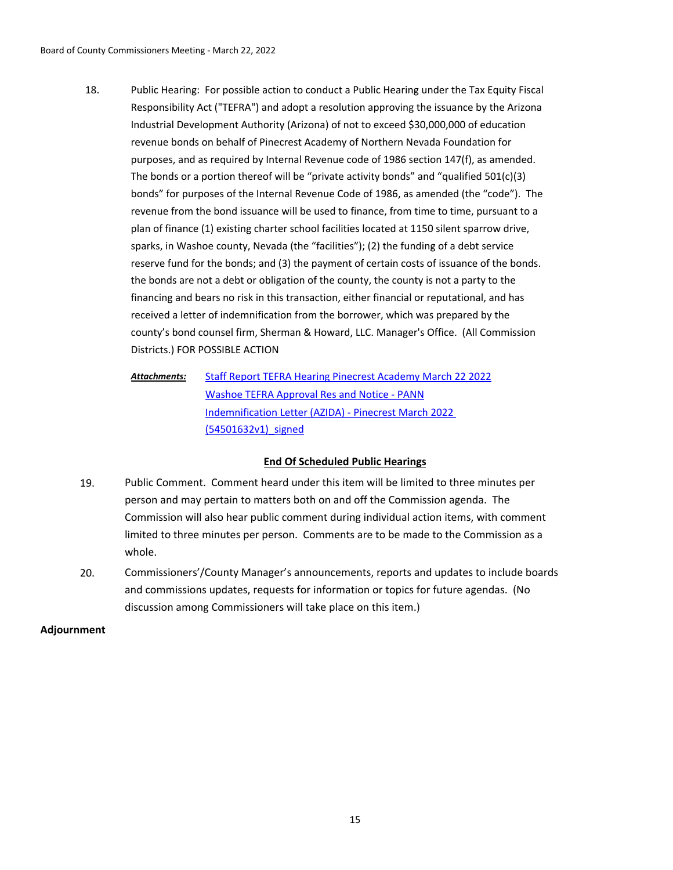- Public Hearing: For possible action to conduct a Public Hearing under the Tax Equity Fiscal Responsibility Act ("TEFRA") and adopt a resolution approving the issuance by the Arizona Industrial Development Authority (Arizona) of not to exceed \$30,000,000 of education revenue bonds on behalf of Pinecrest Academy of Northern Nevada Foundation for purposes, and as required by Internal Revenue code of 1986 section 147(f), as amended. The bonds or a portion thereof will be "private activity bonds" and "qualified  $501(c)(3)$ bonds" for purposes of the Internal Revenue Code of 1986, as amended (the "code"). The revenue from the bond issuance will be used to finance, from time to time, pursuant to a plan of finance (1) existing charter school facilities located at 1150 silent sparrow drive, sparks, in Washoe county, Nevada (the "facilities"); (2) the funding of a debt service reserve fund for the bonds; and (3) the payment of certain costs of issuance of the bonds. the bonds are not a debt or obligation of the county, the county is not a party to the financing and bears no risk in this transaction, either financial or reputational, and has received a letter of indemnification from the borrower, which was prepared by the county's bond counsel firm, Sherman & Howard, LLC. Manager's Office. (All Commission Districts.) FOR POSSIBLE ACTION 18.
	- [Staff Report TEFRA Hearing Pinecrest Academy March 22 2022](http://washoe-nv.legistar.com/gateway.aspx?M=F&ID=ef1adcc7-8f00-4e97-a8b2-32c22c120e60.docx) [Washoe TEFRA Approval Res and Notice - PANN](http://washoe-nv.legistar.com/gateway.aspx?M=F&ID=c8ad9dc3-2a4f-43fe-ab12-e7c164eb5c67.docx) [Indemnification Letter \(AZIDA\) - Pinecrest March 2022](http://washoe-nv.legistar.com/gateway.aspx?M=F&ID=481fa79f-3961-412b-bd27-caec2a56f54c.pdf)  (54501632v1)\_signed *Attachments:*

# **End Of Scheduled Public Hearings**

- 19. Public Comment. Comment heard under this item will be limited to three minutes per person and may pertain to matters both on and off the Commission agenda. The Commission will also hear public comment during individual action items, with comment limited to three minutes per person. Comments are to be made to the Commission as a whole.
- 20. Commissioners'/County Manager's announcements, reports and updates to include boards and commissions updates, requests for information or topics for future agendas. (No discussion among Commissioners will take place on this item.)

# **Adjournment**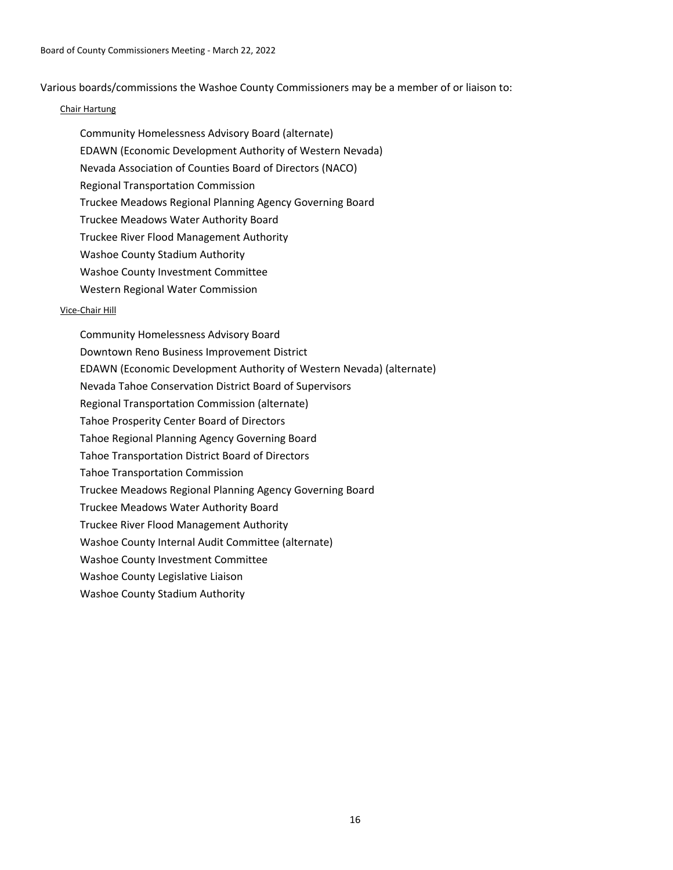Various boards/commissions the Washoe County Commissioners may be a member of or liaison to:

# Chair Hartung

Community Homelessness Advisory Board (alternate) EDAWN (Economic Development Authority of Western Nevada) Nevada Association of Counties Board of Directors (NACO) Regional Transportation Commission Truckee Meadows Regional Planning Agency Governing Board Truckee Meadows Water Authority Board Truckee River Flood Management Authority Washoe County Stadium Authority Washoe County Investment Committee Western Regional Water Commission

# Vice-Chair Hill

Community Homelessness Advisory Board Downtown Reno Business Improvement District EDAWN (Economic Development Authority of Western Nevada) (alternate) Nevada Tahoe Conservation District Board of Supervisors Regional Transportation Commission (alternate) Tahoe Prosperity Center Board of Directors Tahoe Regional Planning Agency Governing Board Tahoe Transportation District Board of Directors Tahoe Transportation Commission Truckee Meadows Regional Planning Agency Governing Board Truckee Meadows Water Authority Board Truckee River Flood Management Authority Washoe County Internal Audit Committee (alternate) Washoe County Investment Committee Washoe County Legislative Liaison Washoe County Stadium Authority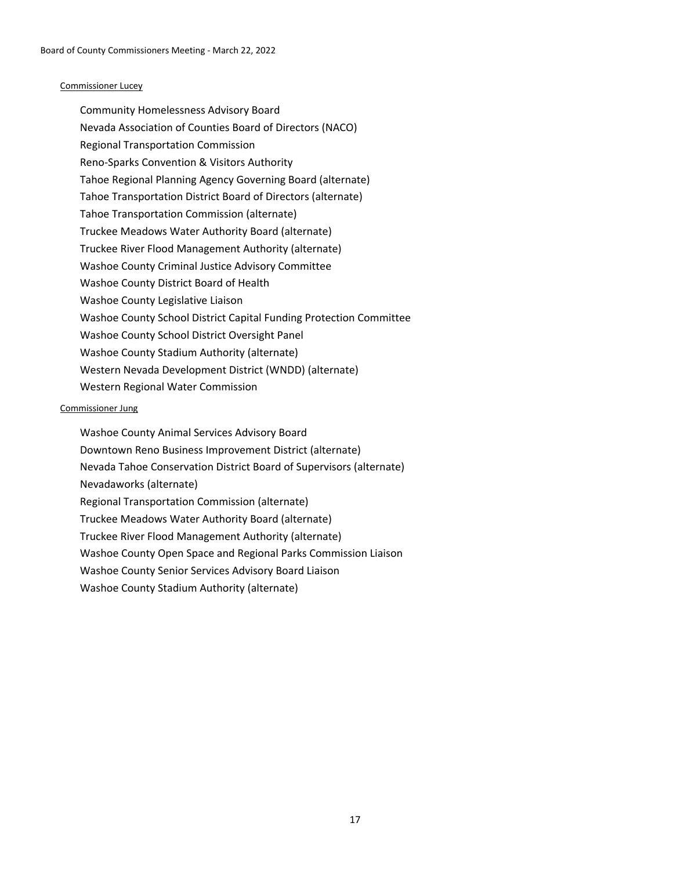## Commissioner Lucey

Community Homelessness Advisory Board Nevada Association of Counties Board of Directors (NACO) Regional Transportation Commission Reno-Sparks Convention & Visitors Authority Tahoe Regional Planning Agency Governing Board (alternate) Tahoe Transportation District Board of Directors (alternate) Tahoe Transportation Commission (alternate) Truckee Meadows Water Authority Board (alternate) Truckee River Flood Management Authority (alternate) Washoe County Criminal Justice Advisory Committee Washoe County District Board of Health Washoe County Legislative Liaison Washoe County School District Capital Funding Protection Committee Washoe County School District Oversight Panel Washoe County Stadium Authority (alternate) Western Nevada Development District (WNDD) (alternate) Western Regional Water Commission

## Commissioner Jung

Washoe County Animal Services Advisory Board Downtown Reno Business Improvement District (alternate) Nevada Tahoe Conservation District Board of Supervisors (alternate) Nevadaworks (alternate) Regional Transportation Commission (alternate) Truckee Meadows Water Authority Board (alternate) Truckee River Flood Management Authority (alternate) Washoe County Open Space and Regional Parks Commission Liaison Washoe County Senior Services Advisory Board Liaison Washoe County Stadium Authority (alternate)